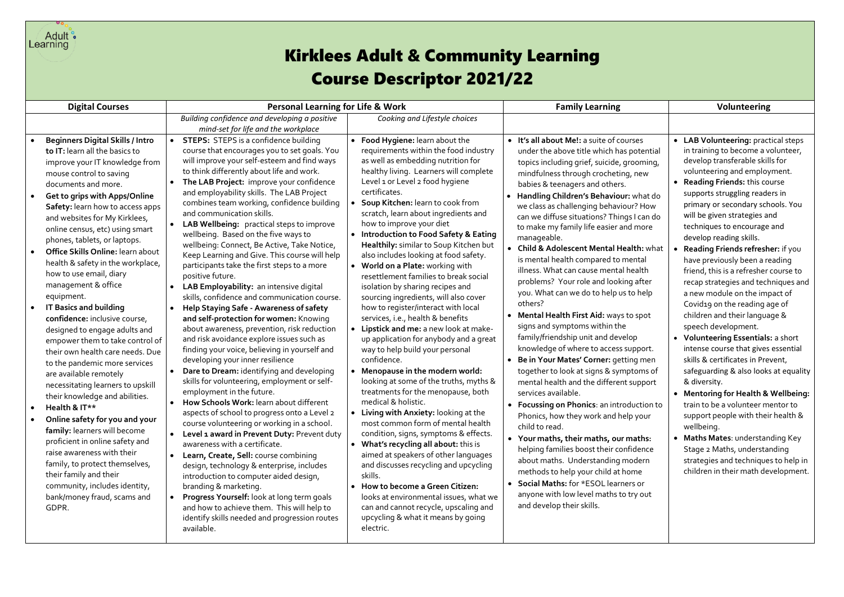

## **Requires Adult & Community Learning**<br> **Kirklees Adult & Community Learning** Course Descriptor 2021/22

| <b>Digital Courses</b>                                                                                                                                                                                                                                                                                                                                                                                                                                                                                                                                                                                                                                                                                                                                                                                                                                                                                                                                                                                                                                                                       | <b>Personal Learning for Life &amp; Work</b>                                                                                                                                                                                                                                                                                                                                                                                                                                                                                                                                                                                                                                                                                                                                                                                                                                                                                                                                                                                                                                                                                                                                                                                                                                                                                                                                                                                                                                                                                                                                                                                                                                                                                                                                                                                                                                                                                                                                                                                                                                                                                                                                                                                                                                                                                                                                                                                                                                                                                                                                                                                                                                                                                                                                                                                                                                                                                                                                                                                                                                                 | <b>Family Learning</b>                                                                                                                                                                                                                                                                                                                                                                                                                                                                                                                                                                                                                                                                                                                                                                                                                                                                                                                                                                                                                                                                                                                                                                                                                                                                                                                       | <b>Volunteering</b>                                                                                                                                                                                                                                                                                                                                                                                                                                                                                                                                                                                                                                                                                                                                                                                                                                                                                                                                                                                                                                                                                    |
|----------------------------------------------------------------------------------------------------------------------------------------------------------------------------------------------------------------------------------------------------------------------------------------------------------------------------------------------------------------------------------------------------------------------------------------------------------------------------------------------------------------------------------------------------------------------------------------------------------------------------------------------------------------------------------------------------------------------------------------------------------------------------------------------------------------------------------------------------------------------------------------------------------------------------------------------------------------------------------------------------------------------------------------------------------------------------------------------|----------------------------------------------------------------------------------------------------------------------------------------------------------------------------------------------------------------------------------------------------------------------------------------------------------------------------------------------------------------------------------------------------------------------------------------------------------------------------------------------------------------------------------------------------------------------------------------------------------------------------------------------------------------------------------------------------------------------------------------------------------------------------------------------------------------------------------------------------------------------------------------------------------------------------------------------------------------------------------------------------------------------------------------------------------------------------------------------------------------------------------------------------------------------------------------------------------------------------------------------------------------------------------------------------------------------------------------------------------------------------------------------------------------------------------------------------------------------------------------------------------------------------------------------------------------------------------------------------------------------------------------------------------------------------------------------------------------------------------------------------------------------------------------------------------------------------------------------------------------------------------------------------------------------------------------------------------------------------------------------------------------------------------------------------------------------------------------------------------------------------------------------------------------------------------------------------------------------------------------------------------------------------------------------------------------------------------------------------------------------------------------------------------------------------------------------------------------------------------------------------------------------------------------------------------------------------------------------------------------------------------------------------------------------------------------------------------------------------------------------------------------------------------------------------------------------------------------------------------------------------------------------------------------------------------------------------------------------------------------------------------------------------------------------------------------------------------------------|----------------------------------------------------------------------------------------------------------------------------------------------------------------------------------------------------------------------------------------------------------------------------------------------------------------------------------------------------------------------------------------------------------------------------------------------------------------------------------------------------------------------------------------------------------------------------------------------------------------------------------------------------------------------------------------------------------------------------------------------------------------------------------------------------------------------------------------------------------------------------------------------------------------------------------------------------------------------------------------------------------------------------------------------------------------------------------------------------------------------------------------------------------------------------------------------------------------------------------------------------------------------------------------------------------------------------------------------|--------------------------------------------------------------------------------------------------------------------------------------------------------------------------------------------------------------------------------------------------------------------------------------------------------------------------------------------------------------------------------------------------------------------------------------------------------------------------------------------------------------------------------------------------------------------------------------------------------------------------------------------------------------------------------------------------------------------------------------------------------------------------------------------------------------------------------------------------------------------------------------------------------------------------------------------------------------------------------------------------------------------------------------------------------------------------------------------------------|
|                                                                                                                                                                                                                                                                                                                                                                                                                                                                                                                                                                                                                                                                                                                                                                                                                                                                                                                                                                                                                                                                                              | Building confidence and developing a positive<br>Cooking and Lifestyle choices<br>mind-set for life and the workplace                                                                                                                                                                                                                                                                                                                                                                                                                                                                                                                                                                                                                                                                                                                                                                                                                                                                                                                                                                                                                                                                                                                                                                                                                                                                                                                                                                                                                                                                                                                                                                                                                                                                                                                                                                                                                                                                                                                                                                                                                                                                                                                                                                                                                                                                                                                                                                                                                                                                                                                                                                                                                                                                                                                                                                                                                                                                                                                                                                        |                                                                                                                                                                                                                                                                                                                                                                                                                                                                                                                                                                                                                                                                                                                                                                                                                                                                                                                                                                                                                                                                                                                                                                                                                                                                                                                                              |                                                                                                                                                                                                                                                                                                                                                                                                                                                                                                                                                                                                                                                                                                                                                                                                                                                                                                                                                                                                                                                                                                        |
| <b>Beginners Digital Skills / Intro</b><br>to IT: learn all the basics to<br>improve your IT knowledge from<br>mouse control to saving<br>documents and more.<br><b>Get to grips with Apps/Online</b><br>Safety: learn how to access apps<br>and websites for My Kirklees,<br>online census, etc) using smart<br>phones, tablets, or laptops.<br>Office Skills Online: learn about<br>health & safety in the workplace,<br>how to use email, diary<br>management & office<br>equipment.<br><b>IT Basics and building</b><br>confidence: inclusive course,<br>designed to engage adults and<br>empower them to take control of<br>their own health care needs. Due<br>to the pandemic more services<br>are available remotely<br>necessitating learners to upskill<br>their knowledge and abilities.<br>Health & IT**<br>Online safety for you and your<br>family: learners will become<br>proficient in online safety and<br>raise awareness with their<br>family, to protect themselves,<br>their family and their<br>community, includes identity,<br>bank/money fraud, scams and<br>GDPR. | <b>STEPS:</b> STEPS is a confidence building<br>• Food Hygiene: learn about the<br>course that encourages you to set goals. You<br>requirements within the food industry<br>as well as embedding nutrition for<br>will improve your self-esteem and find ways<br>to think differently about life and work.<br>healthy living. Learners will complete<br>Level 1 or Level 2 food hygiene<br>The LAB Project: improve your confidence<br>certificates.<br>and employability skills. The LAB Project<br>combines team working, confidence building<br>Soup Kitchen: learn to cook from<br>and communication skills.<br>scratch, learn about ingredients and<br>how to improve your diet<br>LAB Wellbeing: practical steps to improve<br>• Introduction to Food Safety & Eating<br>wellbeing. Based on the five ways to<br>wellbeing: Connect, Be Active, Take Notice,<br>Healthily: similar to Soup Kitchen but<br>also includes looking at food safety.<br>Keep Learning and Give. This course will help<br>participants take the first steps to a more<br>• World on a Plate: working with<br>resettlement families to break social<br>positive future.<br>LAB Employability: an intensive digital<br>isolation by sharing recipes and<br>skills, confidence and communication course.<br>sourcing ingredients, will also cover<br>how to register/interact with local<br>Help Staying Safe - Awareness of safety<br>services, i.e., health & benefits<br>and self-protection for women: Knowing<br>• Lipstick and me: a new look at make-<br>about awareness, prevention, risk reduction<br>and risk avoidance explore issues such as<br>up application for anybody and a great<br>finding your voice, believing in yourself and<br>way to help build your personal<br>developing your inner resilience<br>confidence.<br>Dare to Dream: identifying and developing<br>• Menopause in the modern world:<br>skills for volunteering, employment or self-<br>looking at some of the truths, myths &<br>employment in the future.<br>treatments for the menopause, both<br>medical & holistic.<br>How Schools Work: learn about different<br>aspects of school to progress onto a Level 2<br>• Living with Anxiety: looking at the<br>most common form of mental health<br>course volunteering or working in a school.<br>condition, signs, symptoms & effects.<br>Level 1 award in Prevent Duty: Prevent duty<br>$\bullet$<br>awareness with a certificate.<br>• What's recycling all about: this is<br>aimed at speakers of other languages<br>Learn, Create, Sell: course combining<br>and discusses recycling and upcycling<br>design, technology & enterprise, includes<br>skills.<br>introduction to computer aided design,<br>• How to become a Green Citizen:<br>branding & marketing.<br>looks at environmental issues, what we<br>Progress Yourself: look at long term goals<br>can and cannot recycle, upscaling and<br>and how to achieve them. This will help to<br>upcycling & what it means by going<br>identify skills needed and progression routes<br>available.<br>electric. | • It's all about Me!: a suite of courses<br>under the above title which has potential<br>topics including grief, suicide, grooming,<br>mindfulness through crocheting, new<br>babies & teenagers and others.<br>Handling Children's Behaviour: what do<br>we class as challenging behaviour? How<br>can we diffuse situations? Things I can do<br>to make my family life easier and more<br>manageable.<br>• Child & Adolescent Mental Health: what<br>is mental health compared to mental<br>illness. What can cause mental health<br>problems? Your role and looking after<br>you. What can we do to help us to help<br>others?<br><b>Mental Health First Aid: ways to spot</b><br>signs and symptoms within the<br>family/friendship unit and develop<br>knowledge of where to access support.<br>Be in Your Mates' Corner: getting men<br>together to look at signs & symptoms of<br>mental health and the different support<br>services available.<br>• Focussing on Phonics: an introduction to<br>Phonics, how they work and help your<br>child to read.<br>• Your maths, their maths, our maths:<br>helping families boost their confidence<br>about maths. Understanding modern<br>methods to help your child at home<br>Social Maths: for *ESOL learners or<br>anyone with low level maths to try out<br>and develop their skills. | • LAB Volunteering: practical steps<br>in training to become a volunteer,<br>develop transferable skills for<br>volunteering and employment.<br><b>Reading Friends: this course</b><br>supports struggling readers in<br>primary or secondary schools. You<br>will be given strategies and<br>techniques to encourage and<br>develop reading skills.<br>Reading Friends refresher: if you<br>have previously been a reading<br>friend, this is a refresher course to<br>recap strategies and techniques and<br>a new module on the impact of<br>Covid19 on the reading age of<br>children and their language &<br>speech development.<br><b>Volunteering Essentials: a short</b><br>intense course that gives essential<br>skills & certificates in Prevent,<br>safeguarding & also looks at equality<br>& diversity.<br>• Mentoring for Health & Wellbeing:<br>train to be a volunteer mentor to<br>support people with their health &<br>wellbeing.<br>Maths Mates: understanding Key<br>Stage 2 Maths, understanding<br>strategies and techniques to help in<br>children in their math development. |